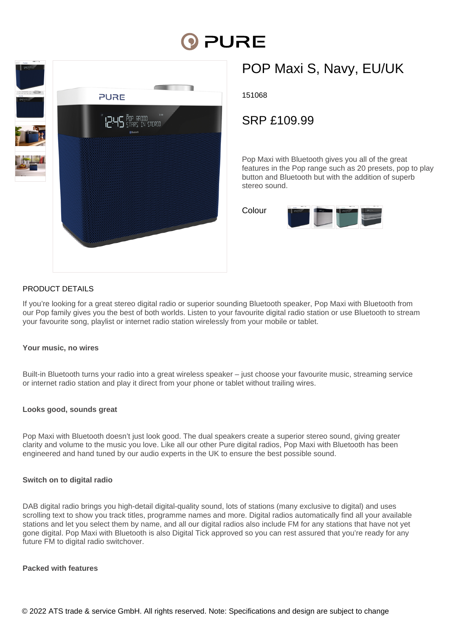# **DI PURE**



## POP Maxi S, Navy, EU/UK

151068

### SRP £109.99

Pop Maxi with Bluetooth gives you all of the great features in the Pop range such as 20 presets, pop to play button and Bluetooth but with the addition of superb stereo sound.



#### PRODUCT DETAILS

If you're looking for a great stereo digital radio or superior sounding Bluetooth speaker, Pop Maxi with Bluetooth from our Pop family gives you the best of both worlds. Listen to your favourite digital radio station or use Bluetooth to stream your favourite song, playlist or internet radio station wirelessly from your mobile or tablet.

#### **Your music, no wires**

Built-in Bluetooth turns your radio into a great wireless speaker – just choose your favourite music, streaming service or internet radio station and play it direct from your phone or tablet without trailing wires.

#### **Looks good, sounds great**

Pop Maxi with Bluetooth doesn't just look good. The dual speakers create a superior stereo sound, giving greater clarity and volume to the music you love. Like all our other Pure digital radios, Pop Maxi with Bluetooth has been engineered and hand tuned by our audio experts in the UK to ensure the best possible sound.

#### **Switch on to digital radio**

DAB digital radio brings you high-detail digital-quality sound, lots of stations (many exclusive to digital) and uses scrolling text to show you track titles, programme names and more. Digital radios automatically find all your available stations and let you select them by name, and all our digital radios also include FM for any stations that have not yet gone digital. Pop Maxi with Bluetooth is also Digital Tick approved so you can rest assured that you're ready for any future FM to digital radio switchover.

#### **Packed with features**